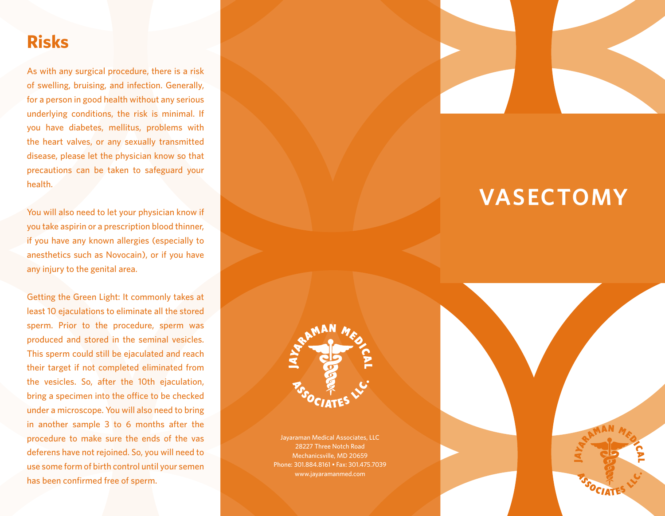## **Risks**

As with any surgical procedure, there is a risk of swelling, bruising, and infection. Generally, for a person in good health without any serious underlying conditions, the risk is minimal. If you have diabetes, mellitus, problems with the heart valves, or any sexually transmitted disease, please let the physician know so that precautions can be taken to safeguard your health.

You will also need to let your physician know if you take aspirin or a prescription blood thinner, if you have any known allergies (especially to anesthetics such as Novocain), or if you have any injury to the genital area.

Getting the Green Light: It commonly takes at least 10 ejaculations to eliminate all the stored sperm. Prior to the procedure, sperm was produced and stored in the seminal vesicles. This sperm could still be ejaculated and reach their target if not completed eliminated from the vesicles. So, after the 10th ejaculation, bring a specimen into the office to be checked under a microscope. You will also need to bring in another sample 3 to 6 months after the procedure to make sure the ends of the vas deferens have not rejoined. So, you will need to use some form of birth control until your semen has been confirmed free of sperm.



# **VASECTOMY**



Jayaraman Medical Associates, LLC 28227 Three Notch Road Mechanicsville, MD 20659 Phone: 301.884.8161 • Fax: 301.475.7039 www.jayaramanmed.com